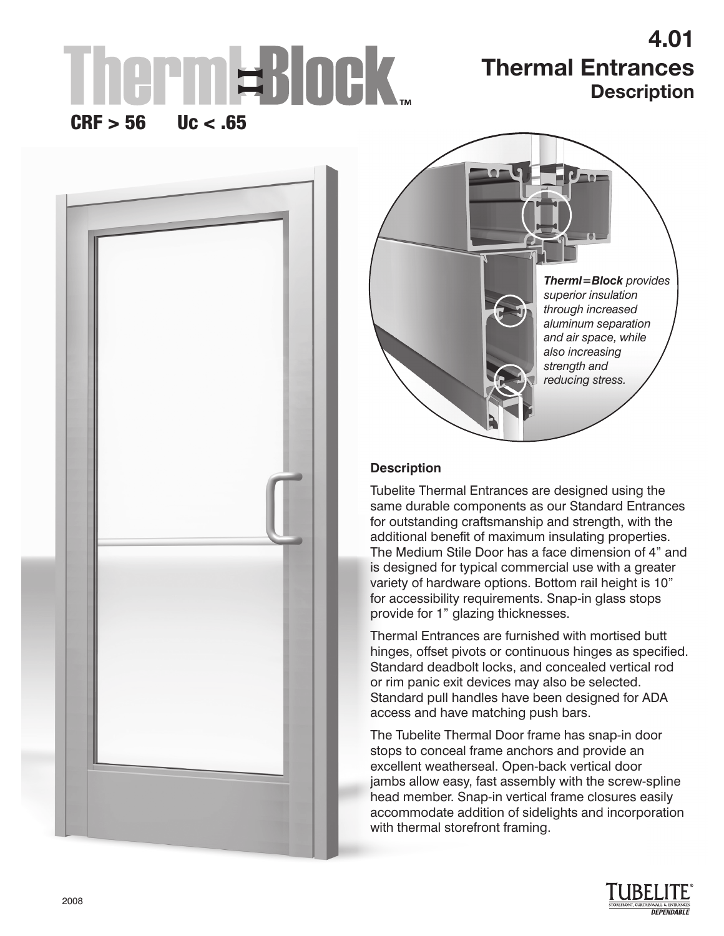# rmWBlock.

# **4.01 Thermal Entrances Description**

# $CRF > 56$  Uc < .65





## **Description**

Tubelite Thermal Entrances are designed using the same durable components as our Standard Entrances for outstanding craftsmanship and strength, with the additional benefit of maximum insulating properties. The Medium Stile Door has a face dimension of 4" and is designed for typical commercial use with a greater variety of hardware options. Bottom rail height is 10" for accessibility requirements. Snap-in glass stops provide for 1" glazing thicknesses.

Thermal Entrances are furnished with mortised butt hinges, offset pivots or continuous hinges as specified. Standard deadbolt locks, and concealed vertical rod or rim panic exit devices may also be selected. Standard pull handles have been designed for ADA access and have matching push bars.

The Tubelite Thermal Door frame has snap-in door stops to conceal frame anchors and provide an excellent weatherseal. Open-back vertical door jambs allow easy, fast assembly with the screw-spline head member. Snap-in vertical frame closures easily accommodate addition of sidelights and incorporation with thermal storefront framing.

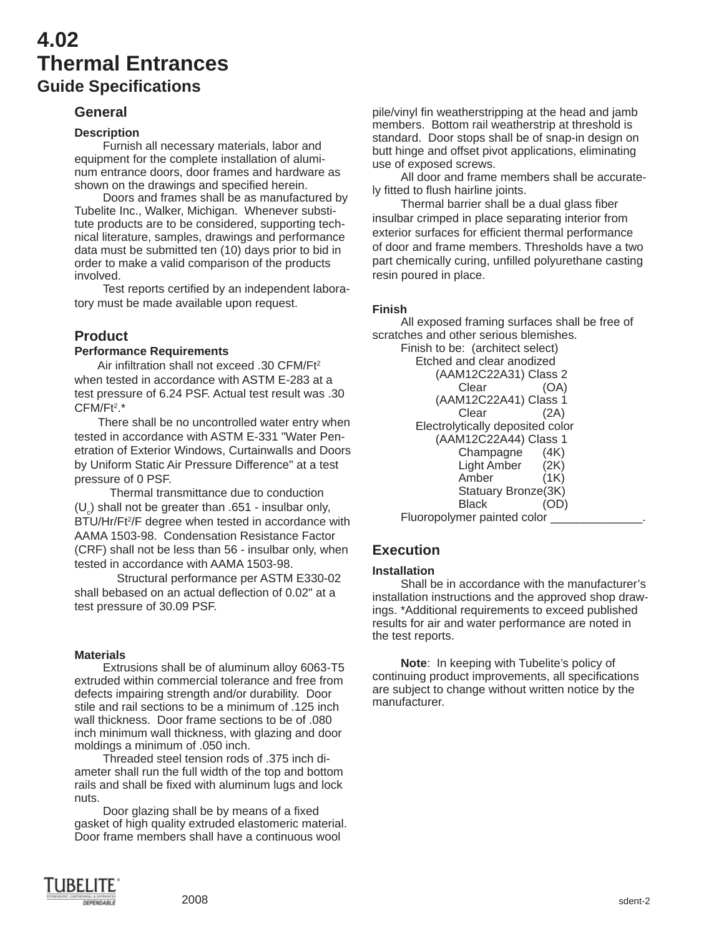# **4.02 Thermal Entrances Guide Specifi cations**

## **General**

### **Description**

Furnish all necessary materials, labor and equipment for the complete installation of aluminum entrance doors, door frames and hardware as shown on the drawings and specified herein.

Doors and frames shall be as manufactured by Tubelite Inc., Walker, Michigan. Whenever substitute products are to be considered, supporting technical literature, samples, drawings and performance data must be submitted ten (10) days prior to bid in order to make a valid comparison of the products involved.

Test reports certified by an independent laboratory must be made available upon request.

## **Product**

#### **Performance Requirements**

Air infiltration shall not exceed .30 CFM/F $t^2$ when tested in accordance with ASTM E-283 at a test pressure of 6.24 PSF. Actual test result was .30 CFM/Ft<sup>2</sup>.\*

 There shall be no uncontrolled water entry when tested in accordance with ASTM E-331 "Water Penetration of Exterior Windows, Curtainwalls and Doors by Uniform Static Air Pressure Difference" at a test pressure of 0 PSF.

 Thermal transmittance due to conduction  $(U_c)$  shall not be greater than .651 - insulbar only, BTU/Hr/Ft<sup>2</sup>/F degree when tested in accordance with AAMA 1503-98. Condensation Resistance Factor (CRF) shall not be less than 56 - insulbar only, when tested in accordance with AAMA 1503-98.

 Structural performance per ASTM E330-02 shall bebased on an actual deflection of 0.02" at a test pressure of 30.09 PSF.

#### **Materials**

Extrusions shall be of aluminum alloy 6063-T5 extruded within commercial tolerance and free from defects impairing strength and/or durability. Door stile and rail sections to be a minimum of .125 inch wall thickness. Door frame sections to be of .080 inch minimum wall thickness, with glazing and door moldings a minimum of .050 inch.

Threaded steel tension rods of .375 inch diameter shall run the full width of the top and bottom rails and shall be fixed with aluminum lugs and lock nuts.

Door glazing shall be by means of a fixed gasket of high quality extruded elastomeric material. Door frame members shall have a continuous wool

pile/vinyl fin weatherstripping at the head and jamb members. Bottom rail weatherstrip at threshold is standard. Door stops shall be of snap-in design on butt hinge and offset pivot applications, eliminating use of exposed screws.

All door and frame members shall be accurately fitted to flush hairline joints.

Thermal barrier shall be a dual glass fiber insulbar crimped in place separating interior from exterior surfaces for efficient thermal performance of door and frame members. Thresholds have a two part chemically curing, unfilled polyurethane casting resin poured in place.

#### **Finish**

All exposed framing surfaces shall be free of scratches and other serious blemishes. Finish to be: (architect select)

 Etched and clear anodized (AAM12C22A31) Class 2 Clear (OA) (AAM12C22A41) Class 1 Clear (2A) Electrolytically deposited color (AAM12C22A44) Class 1 Champagne (4K) Light Amber (2K) Amber (1K) Statuary Bronze(3K) Black (OD) Fluoropolymer painted color \_\_\_\_\_\_\_\_\_\_\_\_\_\_.

## **Execution**

#### **Installation**

Shall be in accordance with the manufacturer's installation instructions and the approved shop drawings. \*Additional requirements to exceed published results for air and water performance are noted in the test reports.

**Note**: In keeping with Tubelite's policy of continuing product improvements, all specifications are subject to change without written notice by the manufacturer.

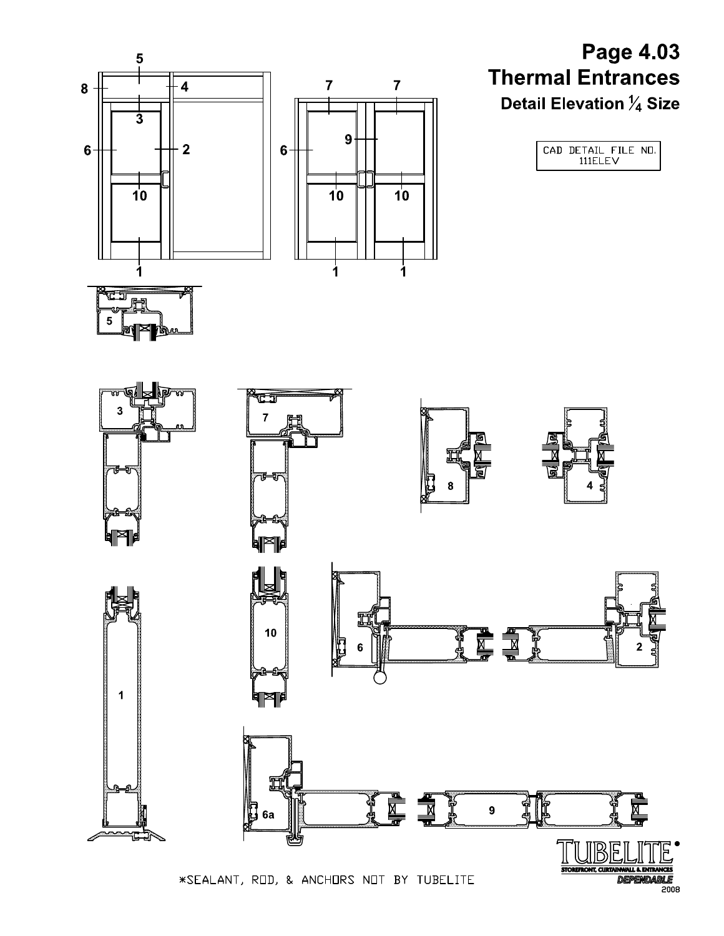

\*SEALANT, ROD, & ANCHORS NOT BY TUBELITE

 $2008$